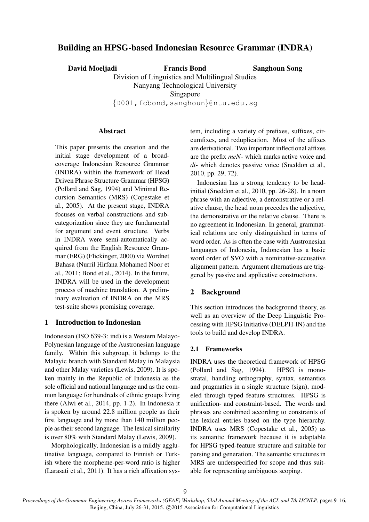# Building an HPSG-based Indonesian Resource Grammar (INDRA)

David Moeljadi Francis Bond

Sanghoun Song

Division of Linguistics and Multilingual Studies Nanyang Technological University Singapore

{D001,fcbond,sanghoun}@ntu.edu.sg

### **Abstract**

This paper presents the creation and the initial stage development of a broadcoverage Indonesian Resource Grammar (INDRA) within the framework of Head Driven Phrase Structure Grammar (HPSG) (Pollard and Sag, 1994) and Minimal Recursion Semantics (MRS) (Copestake et al., 2005). At the present stage, INDRA focuses on verbal constructions and subcategorization since they are fundamental for argument and event structure. Verbs in INDRA were semi-automatically acquired from the English Resource Grammar (ERG) (Flickinger, 2000) via Wordnet Bahasa (Nurril Hirfana Mohamed Noor et al., 2011; Bond et al., 2014). In the future, INDRA will be used in the development process of machine translation. A preliminary evaluation of INDRA on the MRS test-suite shows promising coverage.

## 1 Introduction to Indonesian

Indonesian (ISO 639-3: ind) is a Western Malayo-Polynesian language of the Austronesian language family. Within this subgroup, it belongs to the Malayic branch with Standard Malay in Malaysia and other Malay varieties (Lewis, 2009). It is spoken mainly in the Republic of Indonesia as the sole official and national language and as the common language for hundreds of ethnic groups living there (Alwi et al., 2014, pp. 1-2). In Indonesia it is spoken by around 22.8 million people as their first language and by more than 140 million people as their second language. The lexical similarity is over 80% with Standard Malay (Lewis, 2009).

Morphologically, Indonesian is a mildly agglutinative language, compared to Finnish or Turkish where the morpheme-per-word ratio is higher (Larasati et al., 2011). It has a rich affixation system, including a variety of prefixes, suffixes, circumfixes, and reduplication. Most of the affixes are derivational. Two important inflectional affixes are the prefix *meN*- which marks active voice and *di*- which denotes passive voice (Sneddon et al., 2010, pp. 29, 72).

Indonesian has a strong tendency to be headinitial (Sneddon et al., 2010, pp. 26-28). In a noun phrase with an adjective, a demonstrative or a relative clause, the head noun precedes the adjective, the demonstrative or the relative clause. There is no agreement in Indonesian. In general, grammatical relations are only distinguished in terms of word order. As is often the case with Austronesian languages of Indonesia, Indonesian has a basic word order of SVO with a nominative-accusative alignment pattern. Argument alternations are triggered by passive and applicative constructions.

# 2 Background

This section introduces the background theory, as well as an overview of the Deep Linguistic Processing with HPSG Initiative (DELPH-IN) and the tools to build and develop INDRA.

## 2.1 Frameworks

INDRA uses the theoretical framework of HPSG (Pollard and Sag, 1994). HPSG is monostratal, handling orthography, syntax, semantics and pragmatics in a single structure (sign), modeled through typed feature structures. HPSG is unification- and constraint-based. The words and phrases are combined according to constraints of the lexical entries based on the type hierarchy. INDRA uses MRS (Copestake et al., 2005) as its semantic framework because it is adaptable for HPSG typed-feature structure and suitable for parsing and generation. The semantic structures in MRS are underspecified for scope and thus suitable for representing ambiguous scoping.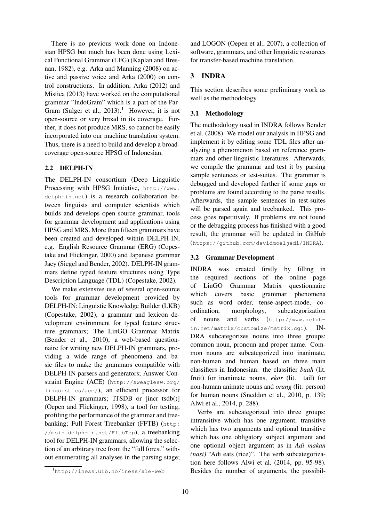There is no previous work done on Indonesian HPSG but much has been done using Lexical Functional Grammar (LFG) (Kaplan and Bresnan, 1982), e.g. Arka and Manning (2008) on active and passive voice and Arka (2000) on control constructions. In addition, Arka (2012) and Mistica (2013) have worked on the computational grammar "IndoGram" which is a part of the Par-Gram (Sulger et al.,  $2013$ ).<sup>1</sup> However, it is not open-source or very broad in its coverage. Further, it does not produce MRS, so cannot be easily incorporated into our machine translation system. Thus, there is a need to build and develop a broadcoverage open-source HPSG of Indonesian.

### 2.2 DELPH-IN

The DELPH-IN consortium (Deep Linguistic Processing with HPSG Initiative, http://www. delph-in.net) is a research collaboration between linguists and computer scientists which builds and develops open source grammar, tools for grammar development and applications using HPSG and MRS. More than fifteen grammars have been created and developed within DELPH-IN, e.g. English Resource Grammar (ERG) (Copestake and Flickinger, 2000) and Japanese grammar Jacy (Siegel and Bender, 2002). DELPH-IN grammars define typed feature structures using Type Description Language (TDL) (Copestake, 2002).

We make extensive use of several open-source tools for grammar development provided by DELPH-IN: Linguistic Knowledge Builder (LKB) (Copestake, 2002), a grammar and lexicon development environment for typed feature structure grammars; The LinGO Grammar Matrix (Bender et al., 2010), a web-based questionnaire for writing new DELPH-IN grammars, providing a wide range of phenomena and basic files to make the grammars compatible with DELPH-IN parsers and generators; Answer Constraint Engine (ACE) (http://sweaglesw.org/ linguistics/ace/), an efficient processor for DELPH-IN grammars; ITSDB or [incr tsdb()] (Oepen and Flickinger, 1998), a tool for testing, profiling the performance of the grammar and treebanking; Full Forest Treebanker (FFTB) (http: //moin.delph-in.net/FftbTop), a treebanking tool for DELPH-IN grammars, allowing the selection of an arbitrary tree from the "full forest" without enumerating all analyses in the parsing stage; and LOGON (Oepen et al., 2007), a collection of software, grammars, and other linguistic resources for transfer-based machine translation.

## 3 INDRA

This section describes some preliminary work as well as the methodology.

### 3.1 Methodology

The methodology used in INDRA follows Bender et al. (2008). We model our analysis in HPSG and implement it by editing some TDL files after analyzing a phenomenon based on reference grammars and other linguistic literatures. Afterwards, we compile the grammar and test it by parsing sample sentences or test-suites. The grammar is debugged and developed further if some gaps or problems are found according to the parse results. Afterwards, the sample sentences in test-suites will be parsed again and treebanked. This process goes repetitively. If problems are not found or the debugging process has finished with a good result, the grammar will be updated in GitHub (https://github.com/davidmoeljadi/INDRA).

### 3.2 Grammar Development

INDRA was created firstly by filling in the required sections of the online page of LinGO Grammar Matrix questionnaire which covers basic grammar phenomena such as word order, tense-aspect-mode, coordination, morphology, subcategorization of nouns and verbs (http://www.delphin.net/matrix/customize/matrix.cgi). IN-DRA subcategorizes nouns into three groups: common noun, pronoun and proper name. Common nouns are subcategorized into inanimate, non-human and human based on three main classifiers in Indonesian: the classifier *buah* (lit. fruit) for inanimate nouns, *ekor* (lit. tail) for non-human animate nouns and *orang* (lit. person) for human nouns (Sneddon et al., 2010, p. 139; Alwi et al., 2014, p. 288).

Verbs are subcategorized into three groups: intransitive which has one argument, transitive which has two arguments and optional transitive which has one obligatory subject argument and one optional object argument as in *Adi makan (nasi)* "Adi eats (rice)". The verb subcategorization here follows Alwi et al. (2014, pp. 95-98). Besides the number of arguments, the possibil-

<sup>1</sup>http://iness.uib.no/iness/xle-web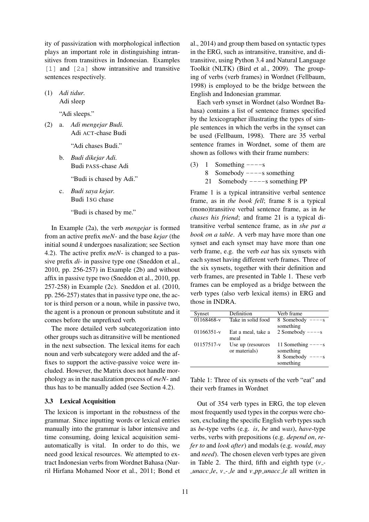ity of passivization with morphological inflection plays an important role in distinguishing intransitives from transitives in Indonesian. Examples [1] and [2a] show intransitive and transitive sentences respectively.

(1) *Adi tidur.* Adi sleep

"Adi sleeps."

(2) a. *Adi mengejar Budi.* Adi ACT-chase Budi

"Adi chases Budi."

b. *Budi dikejar Adi.* Budi PASS-chase Adi

"Budi is chased by Adi."

c. *Budi saya kejar.* Budi 1SG chase

"Budi is chased by me."

In Example (2a), the verb *mengejar* is formed from an active prefix *meN*- and the base *kejar* (the initial sound *k* undergoes nasalization; see Section 4.2). The active prefix *meN*- is changed to a passive prefix *di*- in passive type one (Sneddon et al., 2010, pp. 256-257) in Example (2b) and without affix in passive type two (Sneddon et al., 2010, pp. 257-258) in Example (2c). Sneddon et al. (2010, pp. 256-257) states that in passive type one, the actor is third person or a noun, while in passive two, the agent is a pronoun or pronoun substitute and it comes before the unprefixed verb.

The more detailed verb subcategorization into other groups such as ditransitive will be mentioned in the next subsection. The lexical items for each noun and verb subcategory were added and the affixes to support the active-passive voice were included. However, the Matrix does not handle morphology as in the nasalization process of *meN*- and thus has to be manually added (see Section 4.2).

#### 3.3 Lexical Acquisition

The lexicon is important in the robustness of the grammar. Since inputting words or lexical entries manually into the grammar is labor intensive and time consuming, doing lexical acquisition semiautomatically is vital. In order to do this, we need good lexical resources. We attempted to extract Indonesian verbs from Wordnet Bahasa (Nurril Hirfana Mohamed Noor et al., 2011; Bond et

al., 2014) and group them based on syntactic types in the ERG, such as intransitive, transitive, and ditransitive, using Python 3.4 and Natural Language Toolkit (NLTK) (Bird et al., 2009). The grouping of verbs (verb frames) in Wordnet (Fellbaum, 1998) is employed to be the bridge between the English and Indonesian grammar.

Each verb synset in Wordnet (also Wordnet Bahasa) contains a list of sentence frames specified by the lexicographer illustrating the types of simple sentences in which the verbs in the synset can be used (Fellbaum, 1998). There are 35 verbal sentence frames in Wordnet, some of them are shown as follows with their frame numbers:

- $(3)$  1 Something  $---s$ 
	- 8 Somebody  $---s$  something
	- 21 Somebody ----s something PP

Frame 1 is a typical intransitive verbal sentence frame, as in *the book fell*; frame 8 is a typical (mono)transitive verbal sentence frame, as in *he chases his friend*; and frame 21 is a typical ditransitive verbal sentence frame, as in *she put a book on a table*. A verb may have more than one synset and each synset may have more than one verb frame, e.g. the verb *eat* has six synsets with each synset having different verb frames. Three of the six synsets, together with their definition and verb frames, are presented in Table 1. These verb frames can be employed as a bridge between the verb types (also verb lexical items) in ERG and those in INDRA.

| Synset       | Definition                         | Verb frame                                                         |
|--------------|------------------------------------|--------------------------------------------------------------------|
| 01168468-v   | Take in solid food                 | 8 Somebody<br>$---s$<br>something                                  |
| $01166351-v$ | Eat a meal, take a<br>meal         | 2 Somebody $---s$                                                  |
| $01157517-v$ | Use up (resources<br>or materials) | 11 Something $---s$<br>something<br>8 Somebody $---s$<br>something |

Table 1: Three of six synsets of the verb "eat" and their verb frames in Wordnet

Out of 354 verb types in ERG, the top eleven most frequently used types in the corpus were chosen, excluding the specific English verb types such as *be*-type verbs (e.g. *is*, *be* and *was*), *have*-type verbs, verbs with prepositions (e.g. *depend on*, *refer to* and *look after*) and modals (e.g. *would*, *may* and *need*). The chosen eleven verb types are given in Table 2. The third, fifth and eighth type  $(v_{-})$ *unacc le*, *v - le* and *v pp unacc le* all written in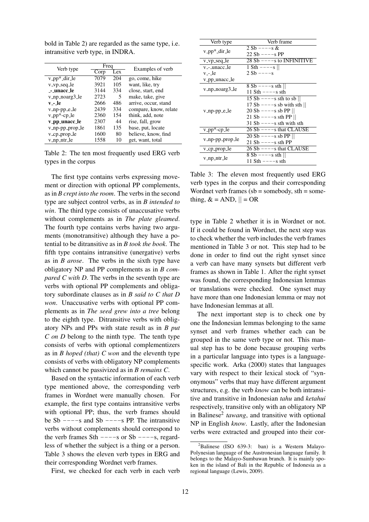bold in Table 2) are regarded as the same type, i.e. intransitive verb type, in INDRA.

| Verb type                                 | Freq |     | Examples of verb      |  |
|-------------------------------------------|------|-----|-----------------------|--|
|                                           | Corp | Lex |                       |  |
| $v$ <sub>-pp</sub> $*$ <sub>-dir-le</sub> | 7079 | 204 | go, come, hike        |  |
| v_vp_seq_le                               | 3921 | 105 | want, like, try       |  |
| -- unacc_le                               | 3144 | 334 | close, start, end     |  |
| v_np_noarg3_le                            | 2723 | 5   | make, take, give      |  |
| v - le                                    | 2666 | 486 | arrive, occur, stand  |  |
| $v$ _np-pp_e_le                           | 2439 | 334 | compare, know, relate |  |
| v_pp*-cp_le                               | 2360 | 154 | think, add, note      |  |
| v_pp_unacc_le                             | 2307 | 44  | rise, fall, grow      |  |
| v_np-pp_prop_le                           | 1861 | 135 | base, put, locate     |  |
| v_cp_prop_le                              | 1600 | 80  | believe, know, find   |  |
| v_np_ntr_le                               | 1558 | 10  | get, want, total      |  |

Table 2: The ten most frequently used ERG verb types in the corpus

The first type contains verbs expressing movement or direction with optional PP complements, as in *B crept into the room*. The verbs in the second type are subject control verbs, as in *B intended to win*. The third type consists of unaccusative verbs without complements as in *The plate gleamed*. The fourth type contains verbs having two arguments (monotransitive) although they have a potential to be ditransitive as in *B took the book*. The fifth type contains intransitive (unergative) verbs as in *B arose*. The verbs in the sixth type have obligatory NP and PP complements as in *B compared C with D*. The verbs in the seventh type are verbs with optional PP complements and obligatory subordinate clauses as in *B said to C that D won*. Unaccusative verbs with optional PP complements as in *The seed grew into a tree* belong to the eighth type. Ditransitive verbs with obligatory NPs and PPs with state result as in *B put C on D* belong to the ninth type. The tenth type consists of verbs with optional complementizers as in *B hoped (that) C won* and the eleventh type consists of verbs with obligatory NP complements which cannot be passivized as in *B remains C*.

Based on the syntactic information of each verb type mentioned above, the corresponding verb frames in Wordnet were manually chosen. For example, the first type contains intransitive verbs with optional PP; thus, the verb frames should be Sb  $---s$  and Sb  $---s$  PP. The intransitive verbs without complements should correspond to the verb frames Sth  $---s$  or Sb  $---s$ , regardless of whether the subject is a thing or a person. Table 3 shows the eleven verb types in ERG and their corresponding Wordnet verb frames.

First, we checked for each verb in each verb

| Verb type                                 | Verb frame                  |
|-------------------------------------------|-----------------------------|
| v_pp*_dir_le                              | $2 Sb --- s$ &              |
|                                           | $22 Sb --- S$ PP            |
| v_vp_seq_le                               | $28 Sb$ ----s to INFINITIVE |
| v <sub>--</sub> _unacc_le                 | 1 Sth $---s$                |
| v_-_le                                    | $2 Sb --- s$                |
| v_pp_unacc_le                             |                             |
| v_np_noarg3_le                            | $8 Sb$ ----s sth            |
|                                           | 11 Sth $---s$ sth           |
|                                           | $15 Sb --- s$ sth to sb     |
|                                           | 17 Sb $---s$ sb with sth    |
| v_np-pp_e_le                              | $20 Sb$ ----s sb PP         |
|                                           | 21 Sb $---s$ sth PP         |
|                                           | $31$ Sb $---s$ sth with sth |
| $v$ <sub>-pp</sub> $*$ -cp <sub>-le</sub> | 26 Sb $---s$ that CLAUSE    |
| v_np-pp_prop_le                           | $20 Sb$ ----s sb PP         |
|                                           | $21 Sb$ ----s sth PP        |
| v_cp_prop_le                              | 26 Sb $---s$ that CLAUSE    |
|                                           | 8 Sb ----s sth              |
| v_np_ntr_le                               | 11 Sth ----s sth            |

Table 3: The eleven most frequently used ERG verb types in the corpus and their corresponding Wordnet verb frames  $(sb =$ somebody, sth = something,  $\& = AND, || = OR$ 

type in Table 2 whether it is in Wordnet or not. If it could be found in Wordnet, the next step was to check whether the verb includes the verb frames mentioned in Table 3 or not. This step had to be done in order to find out the right synset since a verb can have many synsets but different verb frames as shown in Table 1. After the right synset was found, the corresponding Indonesian lemmas or translations were checked. One synset may have more than one Indonesian lemma or may not have Indonesian lemmas at all.

The next important step is to check one by one the Indonesian lemmas belonging to the same synset and verb frames whether each can be grouped in the same verb type or not. This manual step has to be done because grouping verbs in a particular language into types is a languagespecific work. Arka (2000) states that languages vary with respect to their lexical stock of "synonymous" verbs that may have different argument structures, e.g. the verb *know* can be both intransitive and transitive in Indonesian *tahu* and *ketahui* respectively, transitive only with an obligatory NP in Balinese<sup>2</sup> tawang, and transitive with optional NP in English *know*. Lastly, after the Indonesian verbs were extracted and grouped into their cor-

 ${}^{2}$ Balinese (ISO 639-3: ban) is a Western Malayo-Polynesian language of the Austronesian language family. It belongs to the Malayo-Sumbawan branch. It is mainly spoken in the island of Bali in the Republic of Indonesia as a regional language (Lewis, 2009).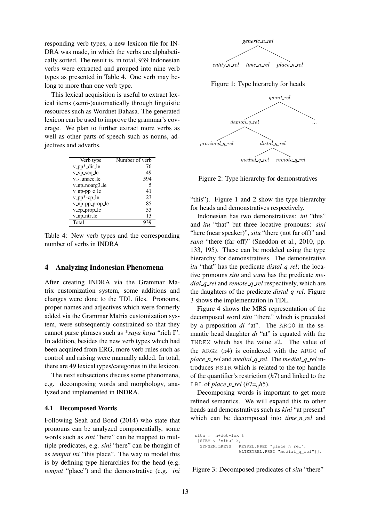responding verb types, a new lexicon file for IN-DRA was made, in which the verbs are alphabetically sorted. The result is, in total, 939 Indonesian verbs were extracted and grouped into nine verb types as presented in Table 4. One verb may belong to more than one verb type.

This lexical acquisition is useful to extract lexical items (semi-)automatically through linguistic resources such as Wordnet Bahasa. The generated lexicon can be used to improve the grammar's coverage. We plan to further extract more verbs as well as other parts-of-speech such as nouns, adjectives and adverbs.

| Verb type                                 | Number of verb |
|-------------------------------------------|----------------|
| $v$ <sub>-pp</sub> $*$ <sub>-dir-le</sub> | 76             |
| v_vp_seq_le                               | 49             |
| v <sub>--</sub> _unacc_le                 | 594            |
| v_np_noarg3_le                            | 5              |
| $v$ _np-pp_e_le                           | 41             |
| v_pp*-cp_le                               | 23             |
| v_np-pp_prop_le                           | 85             |
| v_cp_prop_le                              | 53             |
| v_np_ntr_le                               | 13             |
| Total                                     |                |

Table 4: New verb types and the corresponding number of verbs in INDRA

#### 4 Analyzing Indonesian Phenomena

After creating INDRA via the Grammar Matrix customization system, some additions and changes were done to the TDL files. Pronouns, proper names and adjectives which were formerly added via the Grammar Matrix customization system, were subsequently constrained so that they cannot parse phrases such as \**saya kaya* "rich I". In addition, besides the new verb types which had been acquired from ERG, more verb rules such as control and raising were manually added. In total, there are 49 lexical types/categories in the lexicon.

The next subsections discuss some phenomena, e.g. decomposing words and morphology, analyzed and implemented in INDRA.

#### 4.1 Decomposed Words

Following Seah and Bond (2014) who state that pronouns can be analyzed componentially, some words such as *sini* "here" can be mapped to multiple predicates, e.g. *sini* "here" can be thought of as *tempat ini* "this place". The way to model this is by defining type hierarchies for the head (e.g. *tempat* "place") and the demonstrative (e.g. *ini*



Figure 1: Type hierarchy for heads



Figure 2: Type hierarchy for demonstratives

"this"). Figure 1 and 2 show the type hierarchy for heads and demonstratives respectively.

Indonesian has two demonstratives: *ini* "this" and *itu* "that" but three locative pronouns: *sini* "here (near speaker)", *situ* "there (not far off)" and *sana* "there (far off)" (Sneddon et al., 2010, pp. 133, 195). These can be modeled using the type hierarchy for demonstratives. The demonstrative *itu* "that" has the predicate *distal q rel*; the locative pronouns *situ* and *sana* has the predicate *medial q rel* and *remote q rel* respectively, which are the daughters of the predicate *distal q rel*. Figure 3 shows the implementation in TDL.

Figure 4 shows the MRS representation of the decomposed word *situ* "there" which is preceded by a preposition *di* "at". The ARG0 in the semantic head daughter *di* "at" is equated with the INDEX which has the value *e*2. The value of the ARG2 (*x*4) is coindexed with the ARG0 of *place n rel* and *medial q rel*. The *medial q rel* introduces RSTR which is related to the top handle of the quantifier's restriction (*h*7) and linked to the LBL of *place\_n\_rel* ( $h7 = \frac{1}{9}h5$ ).

Decomposing words is important to get more refined semantics. We will expand this to other heads and demonstratives such as *kini* "at present" which can be decomposed into *time\_n\_rel* and

```
situ := n+det-lex &
[STEM < "situ" >,
 SYNSEM.LKEYS [ KEYREL.PRED "place_n_rel",
                ALTKEYREL.PRED "medial_q_rel"]].
```
Figure 3: Decomposed predicates of *situ* "there"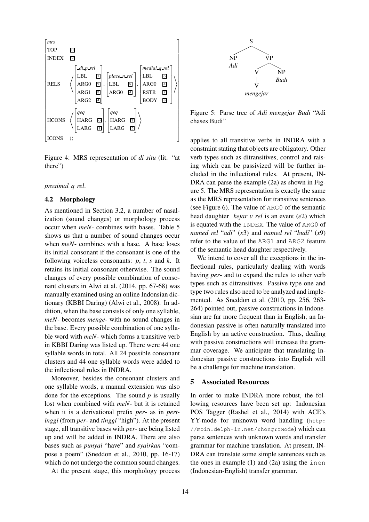

Figure 4: MRS representation of *di situ* (lit. "at there")

## *proximal q rel*.

### 4.2 Morphology

As mentioned in Section 3.2, a number of nasalization (sound changes) or morphology process occur when *meN*- combines with bases. Table 5 shows us that a number of sound changes occur when *meN*- combines with a base. A base loses its initial consonant if the consonant is one of the following voiceless consonants: *p*, *t*, *s* and *k*. It retains its initial consonant otherwise. The sound changes of every possible combination of consonant clusters in Alwi et al. (2014, pp. 67-68) was manually examined using an online Indonsian dictionary (KBBI Daring) (Alwi et al., 2008). In addition, when the base consists of only one syllable, *meN*- becomes *menge*- with no sound changes in the base. Every possible combination of one syllable word with *meN*- which forms a transitive verb in KBBI Daring was listed up. There were 44 one syllable words in total. All 24 possible consonant clusters and 44 one syllable words were added to the inflectional rules in INDRA.

Moreover, besides the consonant clusters and one syllable words, a manual extension was also done for the exceptions. The sound *p* is usually lost when combined with *meN*- but it is retained when it is a derivational prefix *per*- as in *pertinggi* (from *per*- and *tinggi* "high"). At the present stage, all transitive bases with *per*- are being listed up and will be added in INDRA. There are also bases such as *punyai* "have" and *syairkan* "compose a poem" (Sneddon et al., 2010, pp. 16-17) which do not undergo the common sound changes.

At the present stage, this morphology process



Figure 5: Parse tree of *Adi mengejar Budi* "Adi chases Budi"

applies to all transitive verbs in INDRA with a constraint stating that objects are obligatory. Other verb types such as ditransitives, control and raising which can be passivized will be further included in the inflectional rules. At present, IN-DRA can parse the example (2a) as shown in Figure 5. The MRS representation is exactly the same as the MRS representation for transitive sentences (see Figure 6). The value of ARG0 of the semantic head daughter *kejar v rel* is an event (*e*2) which is equated with the INDEX. The value of ARG0 of *named rel* "*adi*" (*x*3) and *named rel* "*budi*" (*x*9) refer to the value of the ARG1 and ARG2 feature of the semantic head daughter respectively.

We intend to cover all the exceptions in the inflectional rules, particularly dealing with words having *per*- and to expand the rules to other verb types such as ditransitives. Passive type one and type two rules also need to be analyzed and implemented. As Sneddon et al. (2010, pp. 256, 263- 264) pointed out, passive constructions in Indonesian are far more frequent than in English; an Indonesian passive is often naturally translated into English by an active construction. Thus, dealing with passive constructions will increase the grammar coverage. We anticipate that translating Indonesian passive constructions into English will be a challenge for machine translation.

#### 5 Associated Resources

In order to make INDRA more robust, the following resources have been set up: Indonesian POS Tagger (Rashel et al., 2014) with ACE's YY-mode for unknown word handling (http: //moin.delph-in.net/ZhongYYMode) which can parse sentences with unknown words and transfer grammar for machine translation. At present, IN-DRA can translate some simple sentences such as the ones in example  $(1)$  and  $(2a)$  using the inen (Indonesian-English) transfer grammar.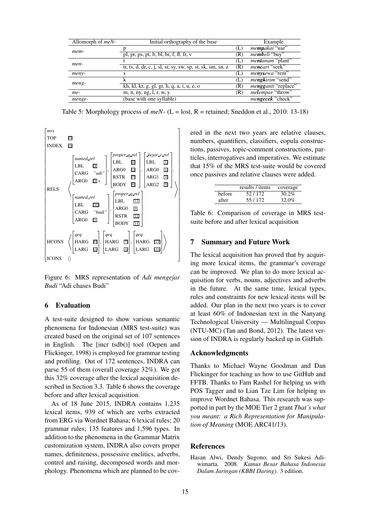| Allomorph of $meN-$ | Initial orthography of the base                                                                   |     | Example                           |
|---------------------|---------------------------------------------------------------------------------------------------|-----|-----------------------------------|
| mem-                |                                                                                                   | (L) | mempakai "use"                    |
|                     | pl, pr, ps, pt, b, bl, br, f, fl, fr, v                                                           | (R) | <i>membeli</i> "buy"              |
| men-                |                                                                                                   | (L) | <i>mentanam</i> "plant"           |
|                     | tr, ts, d, dr, c, j, sl, sr, sy, sw, sp, st, sk, sm, sn, z                                        | (R) | <i>mencari</i> "seek"             |
| meny-               | s                                                                                                 | (L) | menysewa "rent"                   |
| meng-               |                                                                                                   | (L) | mengkirim "send"                  |
|                     | kh, kl, kr, g, gl, gr, h, q, a, $\overline{i}$ , $\overline{u}$ , $\overline{e}$ , $\overline{o}$ | (R) | mengganti "replace"               |
| me-                 | m, n, ny, ng, l, r, w, y                                                                          | (R) | <i>melempar</i> "throw"           |
| menge-              | (base with one syllable)                                                                          |     | $m$ engece $\overline{k}$ "check" |

Table 5: Morphology process of  $meN$ - (L = lost, R = retained; Sneddon et al., 2010: 13-18)



Figure 6: MRS representation of *Adi mengejar Budi* "Adi chases Budi"

### 6 Evaluation

A test-suite designed to show various semantic phenomena for Indonesian (MRS test-suite) was created based on the original set of 107 sentences in English. The [incr tsdb()] tool (Oepen and Flickinger, 1998) is employed for grammar testing and profiling. Out of 172 sentences, INDRA can parse 55 of them (overall coverage 32%). We got this 32% coverage after the lexical acquisition described in Section 3.3. Table 6 shows the coverage before and after lexical acquisition.

As of 18 June 2015, INDRA contains 1,235 lexical items, 939 of which are verbs extracted from ERG via Wordnet Bahasa; 6 lexical rules; 20 grammar rules; 135 features and 1,596 types. In addition to the phenomena in the Grammar Matrix customization system, INDRA also covers proper names, definiteness, possessive enclitics, adverbs, control and raising, decomposed words and morphology. Phenomena which are planned to be covered in the next two years are relative clauses, numbers, quantifiers, classifiers, copula constructions, passives, topic-comment constructions, particles, interrogatives and imperatives. We estimate that 15% of the MRS test-suite would be covered once passives and relative clauses were added.

|        | results / items | coverage |
|--------|-----------------|----------|
| before | 52/172          | 30.2%    |
| after  | 55/172          | 32.0%    |

Table 6: Comparison of coverage in MRS testsuite before and after lexical acquisition

## 7 Summary and Future Work

The lexical acquisition has proved that by acquiring more lexical items, the grammar's coverage can be improved. We plan to do more lexical acquisition for verbs, nouns, adjectives and adverbs in the future. At the same time, lexical types, rules and constraints for new lexical items will be added. Our plan in the next two years is to cover at least 60% of Indonesian text in the Nanyang Technological University — Multilingual Corpus (NTU-MC) (Tan and Bond, 2012). The latest version of INDRA is regularly backed up in GitHub.

#### Acknowledgments

Thanks to Michael Wayne Goodman and Dan Flickinger for teaching us how to use GitHub and FFTB. Thanks to Fam Rashel for helping us with POS Tagger and to Lian Tze Lim for helping us improve Wordnet Bahasa. This research was supported in part by the MOE Tier 2 grant *That's what you meant: a Rich Representation for Manipulation of Meaning* (MOE ARC41/13).

### **References**

Hasan Alwi, Dendy Sugono, and Sri Sukesi Adiwimarta. 2008. *Kamus Besar Bahasa Indonesia Dalam Jaringan (KBBI Daring)*. 3 edition.